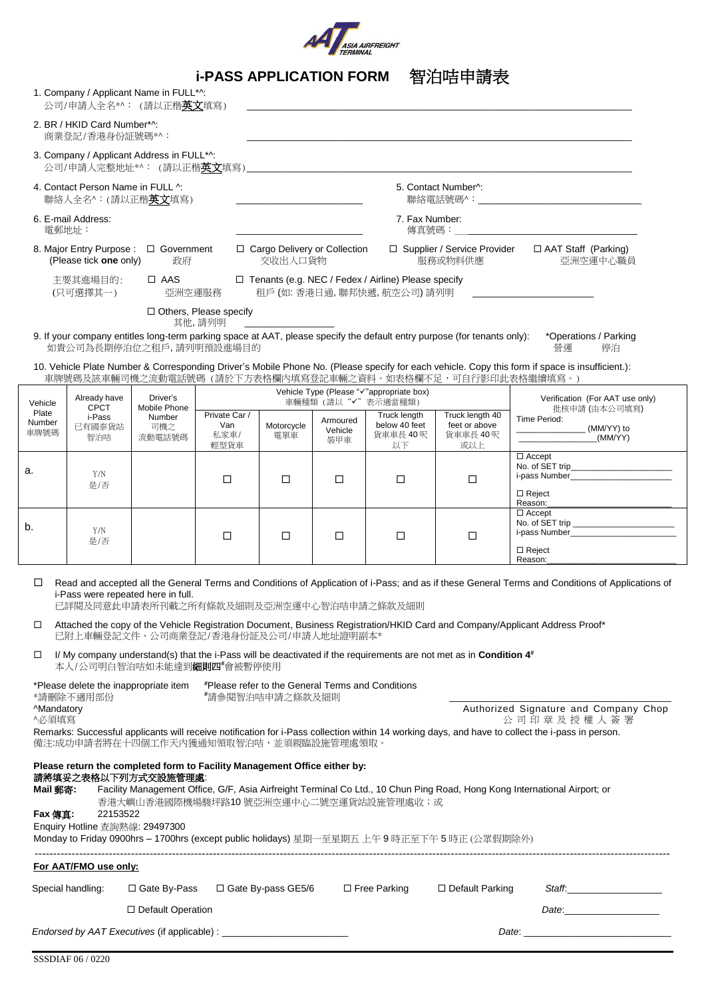

|                                                                                                                                                                                                                                                                                                                                                                                                                                                                                                                                                                                                                                                                                                                                                                                                                                                                                                                                                                                                                                                                                                                                                                                                                                                                                              |                                                |                                                                  | <b>i-PASS APPLICATION FORM</b> |                                                                                                                       |                            |                                                                                  | 智泊咭申請表                                                                                                                   |                                                                                                                                                 |
|----------------------------------------------------------------------------------------------------------------------------------------------------------------------------------------------------------------------------------------------------------------------------------------------------------------------------------------------------------------------------------------------------------------------------------------------------------------------------------------------------------------------------------------------------------------------------------------------------------------------------------------------------------------------------------------------------------------------------------------------------------------------------------------------------------------------------------------------------------------------------------------------------------------------------------------------------------------------------------------------------------------------------------------------------------------------------------------------------------------------------------------------------------------------------------------------------------------------------------------------------------------------------------------------|------------------------------------------------|------------------------------------------------------------------|--------------------------------|-----------------------------------------------------------------------------------------------------------------------|----------------------------|----------------------------------------------------------------------------------|--------------------------------------------------------------------------------------------------------------------------|-------------------------------------------------------------------------------------------------------------------------------------------------|
|                                                                                                                                                                                                                                                                                                                                                                                                                                                                                                                                                                                                                                                                                                                                                                                                                                                                                                                                                                                                                                                                                                                                                                                                                                                                                              |                                                | 1. Company / Applicant Name in FULL*^:<br>公司/申請人全名*^: (請以正楷英文填寫) |                                |                                                                                                                       |                            |                                                                                  |                                                                                                                          |                                                                                                                                                 |
|                                                                                                                                                                                                                                                                                                                                                                                                                                                                                                                                                                                                                                                                                                                                                                                                                                                                                                                                                                                                                                                                                                                                                                                                                                                                                              | 2. BR / HKID Card Number*^:<br>商業登記/香港身份証號碼*^: |                                                                  |                                |                                                                                                                       |                            |                                                                                  |                                                                                                                          |                                                                                                                                                 |
|                                                                                                                                                                                                                                                                                                                                                                                                                                                                                                                                                                                                                                                                                                                                                                                                                                                                                                                                                                                                                                                                                                                                                                                                                                                                                              |                                                | 3. Company / Applicant Address in FULL*^:                        |                                |                                                                                                                       |                            |                                                                                  |                                                                                                                          |                                                                                                                                                 |
|                                                                                                                                                                                                                                                                                                                                                                                                                                                                                                                                                                                                                                                                                                                                                                                                                                                                                                                                                                                                                                                                                                                                                                                                                                                                                              | 4. Contact Person Name in FULL ^:              | 聯絡人全名^:(請以正楷英文填寫)                                                |                                | <u> 1989 - Johann Harry Harry Harry Harry Harry Harry Harry Harry Harry Harry Harry Harry Harry Harry Harry Harry</u> |                            |                                                                                  | 5. Contact Number <sup>^</sup> :                                                                                         |                                                                                                                                                 |
| 電郵地址:                                                                                                                                                                                                                                                                                                                                                                                                                                                                                                                                                                                                                                                                                                                                                                                                                                                                                                                                                                                                                                                                                                                                                                                                                                                                                        | 6. E-mail Address:                             |                                                                  |                                |                                                                                                                       |                            | 7. Fax Number:<br>傳真號碼:                                                          |                                                                                                                          |                                                                                                                                                 |
|                                                                                                                                                                                                                                                                                                                                                                                                                                                                                                                                                                                                                                                                                                                                                                                                                                                                                                                                                                                                                                                                                                                                                                                                                                                                                              | (Please tick one only)                         | 8. Major Entry Purpose : □ Government<br>政府                      |                                | □ Cargo Delivery or Collection<br>交收出入口貨物                                                                             |                            |                                                                                  | □ Supplier / Service Provider<br>服務或物料供應                                                                                 | □ AAT Staff (Parking)<br>亞洲空運中心職員                                                                                                               |
|                                                                                                                                                                                                                                                                                                                                                                                                                                                                                                                                                                                                                                                                                                                                                                                                                                                                                                                                                                                                                                                                                                                                                                                                                                                                                              | 主要其進場目的:<br>(只可選擇其一)                           | $\Box$ AAS<br>亞洲空運服務                                             |                                |                                                                                                                       |                            | □ Tenants (e.g. NEC / Fedex / Airline) Please specify<br>租戶(如:香港日通,聯邦快遞,航空公司)請列明 |                                                                                                                          |                                                                                                                                                 |
|                                                                                                                                                                                                                                                                                                                                                                                                                                                                                                                                                                                                                                                                                                                                                                                                                                                                                                                                                                                                                                                                                                                                                                                                                                                                                              |                                                |                                                                  | □ Others, Please specify       |                                                                                                                       |                            |                                                                                  |                                                                                                                          |                                                                                                                                                 |
|                                                                                                                                                                                                                                                                                                                                                                                                                                                                                                                                                                                                                                                                                                                                                                                                                                                                                                                                                                                                                                                                                                                                                                                                                                                                                              |                                                | 如貴公司為長期停泊位之租戶,請列明預設進場目的                                          | 其他,請列明                         |                                                                                                                       |                            |                                                                                  | 9. If your company entitles long-term parking space at AAT, please specify the default entry purpose (for tenants only): | *Operations / Parking<br>營運<br>停泊                                                                                                               |
|                                                                                                                                                                                                                                                                                                                                                                                                                                                                                                                                                                                                                                                                                                                                                                                                                                                                                                                                                                                                                                                                                                                                                                                                                                                                                              |                                                |                                                                  |                                |                                                                                                                       |                            |                                                                                  | 車牌號碼及該車輛司機之流動電話號碼 (請於下方表格欄內填寫登記車輛之資料。如表格欄不足,可自行影印此表格繼續填寫。)                                                               | 10. Vehicle Plate Number & Corresponding Driver's Mobile Phone No. (Please specify for each vehicle. Copy this form if space is insufficient.): |
| Vehicle                                                                                                                                                                                                                                                                                                                                                                                                                                                                                                                                                                                                                                                                                                                                                                                                                                                                                                                                                                                                                                                                                                                                                                                                                                                                                      | Already have                                   | Driver's                                                         |                                |                                                                                                                       |                            | Vehicle Type (Please "v"appropriate box)<br>車輛種類 (請以"√"表示適當種類)                   |                                                                                                                          | Verification (For AAT use only)                                                                                                                 |
| Plate<br>Number<br>車牌號碼                                                                                                                                                                                                                                                                                                                                                                                                                                                                                                                                                                                                                                                                                                                                                                                                                                                                                                                                                                                                                                                                                                                                                                                                                                                                      | <b>CPCT</b><br>i-Pass<br>已有國泰貨站<br>智泊咭         | Mobile Phone<br>Number<br>司機之<br>流動電話號碼                          | Private Car /<br>Van<br>私家車/   | Motorcycle<br>電單車                                                                                                     | Armoured<br>Vehicle<br>裝甲車 | Truck length<br>below 40 feet<br>貨車車長 40呎                                        | Truck length 40<br>feet or above<br>貨車車長 40呎                                                                             | 批核申請 (由本公司填寫)<br>Time Period:<br>(MM/YY)                                                                                                        |
| a.                                                                                                                                                                                                                                                                                                                                                                                                                                                                                                                                                                                                                                                                                                                                                                                                                                                                                                                                                                                                                                                                                                                                                                                                                                                                                           | Y/N<br>是/否                                     |                                                                  | 輕型貨車<br>□                      | □                                                                                                                     | □                          | 以下<br>□                                                                          | 或以上<br>$\Box$                                                                                                            | $\Box$ Accept                                                                                                                                   |
| b.                                                                                                                                                                                                                                                                                                                                                                                                                                                                                                                                                                                                                                                                                                                                                                                                                                                                                                                                                                                                                                                                                                                                                                                                                                                                                           | Y/N<br>是/否                                     |                                                                  | □                              | $\Box$                                                                                                                | □                          | $\Box$                                                                           | $\Box$                                                                                                                   | $\Box$ Reject<br>Reason:<br>$\Box$ Accept<br>$\Box$ Reject<br>Reason:                                                                           |
| □<br>Read and accepted all the General Terms and Conditions of Application of i-Pass; and as if these General Terms and Conditions of Applications of<br>i-Pass were repeated here in full.<br>已詳閱及同意此申請表所刊載之所有條款及細則及亞洲空運中心智泊咭申請之條款及細則<br>Attached the copy of the Vehicle Registration Document, Business Registration/HKID Card and Company/Applicant Address Proof*<br>□<br>已附上車輛登記文件、公司商業登記/香港身份証及公司/申請人地址證明副本*<br>I/ My company understand(s) that the i-Pass will be deactivated if the requirements are not met as in Condition 4 <sup>#</sup><br>□<br>本人/公司明白智泊咭如未能達到細則四#會被暫停使用<br>*Please delete the inappropriate item #Please refer to the General Terms and Conditions<br>*請刪除不適用部份<br><b>*</b> 請參閱智泊咭申請之條款及細則<br>^Mandatory<br>Authorized Signature and Company Chop<br>公司印章及授權人簽署<br>^必須填寫<br>Remarks: Successful applicants will receive notification for i-Pass collection within 14 working days, and have to collect the i-pass in person.<br>備注:成功申請者將在十四個工作天內獲通知領取智泊咭,並須親臨設施管理處領取。<br>Please return the completed form to Facility Management Office either by:<br>請將填妥之表格以下列方式交設施管理處:<br>Facility Management Office, G/F, Asia Airfreight Terminal Co Ltd., 10 Chun Ping Road, Hong Kong International Airport; or<br>Mail 郵寄:<br>香港大嶼山香港國際機場駿坪路10號亞洲空運中心二號空運貨站設施管理處收;或 |                                                |                                                                  |                                |                                                                                                                       |                            |                                                                                  |                                                                                                                          |                                                                                                                                                 |
| Fax 傳真:                                                                                                                                                                                                                                                                                                                                                                                                                                                                                                                                                                                                                                                                                                                                                                                                                                                                                                                                                                                                                                                                                                                                                                                                                                                                                      | 22153522<br>Enquiry Hotline 查詢熱線: 29497300     |                                                                  |                                |                                                                                                                       |                            |                                                                                  | Monday to Friday 0900hrs - 1700hrs (except public holidays) 星期一至星期五 上午 9 時正至下午 5 時正 (公眾假期除外)                             |                                                                                                                                                 |
|                                                                                                                                                                                                                                                                                                                                                                                                                                                                                                                                                                                                                                                                                                                                                                                                                                                                                                                                                                                                                                                                                                                                                                                                                                                                                              | For AAT/FMO use only:                          |                                                                  |                                |                                                                                                                       |                            |                                                                                  |                                                                                                                          |                                                                                                                                                 |
|                                                                                                                                                                                                                                                                                                                                                                                                                                                                                                                                                                                                                                                                                                                                                                                                                                                                                                                                                                                                                                                                                                                                                                                                                                                                                              | Special handling:                              | □ Gate By-Pass<br>□ Default Operation                            |                                | $\Box$ Gate By-pass GE5/6 $\Box$ Free Parking                                                                         |                            |                                                                                  | $\Box$ Default Parking                                                                                                   | Staff._______________________                                                                                                                   |
|                                                                                                                                                                                                                                                                                                                                                                                                                                                                                                                                                                                                                                                                                                                                                                                                                                                                                                                                                                                                                                                                                                                                                                                                                                                                                              |                                                |                                                                  |                                |                                                                                                                       |                            |                                                                                  |                                                                                                                          |                                                                                                                                                 |
|                                                                                                                                                                                                                                                                                                                                                                                                                                                                                                                                                                                                                                                                                                                                                                                                                                                                                                                                                                                                                                                                                                                                                                                                                                                                                              |                                                |                                                                  |                                |                                                                                                                       |                            |                                                                                  |                                                                                                                          |                                                                                                                                                 |